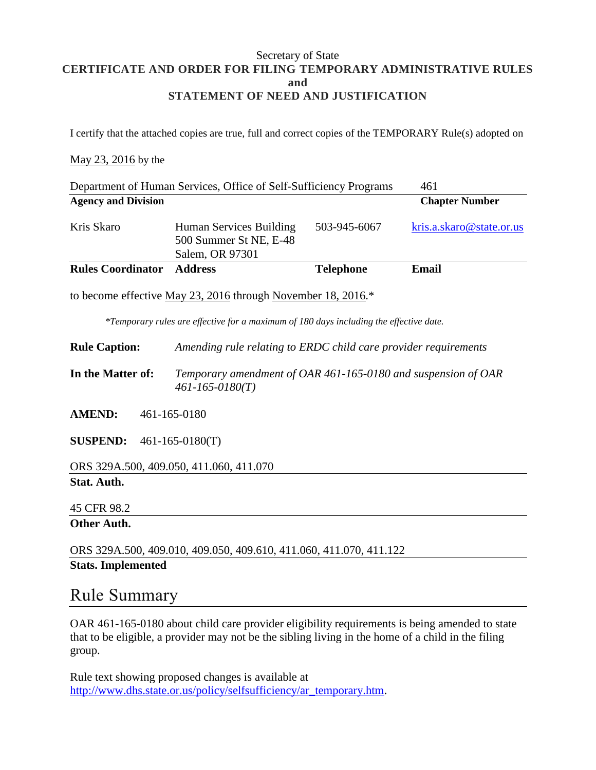#### Secretary of State **CERTIFICATE AND ORDER FOR FILING TEMPORARY ADMINISTRATIVE RULES and STATEMENT OF NEED AND JUSTIFICATION**

I certify that the attached copies are true, full and correct copies of the TEMPORARY Rule(s) adopted on

#### May 23, 2016 by the

| Department of Human Services, Office of Self-Sufficiency Programs<br>461               |                                                                                        |                  |                          |
|----------------------------------------------------------------------------------------|----------------------------------------------------------------------------------------|------------------|--------------------------|
| <b>Agency and Division</b>                                                             |                                                                                        |                  | <b>Chapter Number</b>    |
| Kris Skaro                                                                             | Human Services Building<br>500 Summer St NE, E-48<br>Salem, OR 97301                   | 503-945-6067     | kris.a.skaro@state.or.us |
| <b>Rules Coordinator</b>                                                               | <b>Address</b>                                                                         | <b>Telephone</b> | <b>Email</b>             |
| to become effective May 23, 2016 through November 18, 2016.*                           |                                                                                        |                  |                          |
| *Temporary rules are effective for a maximum of 180 days including the effective date. |                                                                                        |                  |                          |
| <b>Rule Caption:</b>                                                                   | Amending rule relating to ERDC child care provider requirements                        |                  |                          |
| In the Matter of:                                                                      | Temporary amendment of OAR 461-165-0180 and suspension of OAR<br>$461 - 165 - 0180(T)$ |                  |                          |
| <b>AMEND:</b><br>461-165-0180                                                          |                                                                                        |                  |                          |
| <b>SUSPEND:</b><br>$461 - 165 - 0180(T)$                                               |                                                                                        |                  |                          |
| ORS 329A.500, 409.050, 411.060, 411.070                                                |                                                                                        |                  |                          |
| Stat. Auth.                                                                            |                                                                                        |                  |                          |
| 45 CFR 98.2                                                                            |                                                                                        |                  |                          |
| <b>Other Auth.</b>                                                                     |                                                                                        |                  |                          |
| ORS 329A.500, 409.010, 409.050, 409.610, 411.060, 411.070, 411.122                     |                                                                                        |                  |                          |
|                                                                                        |                                                                                        |                  |                          |

**Stats. Implemented**

#### Rule Summary

OAR 461-165-0180 about child care provider eligibility requirements is being amended to state that to be eligible, a provider may not be the sibling living in the home of a child in the filing group.

Rule text showing proposed changes is available at [http://www.dhs.state.or.us/policy/selfsufficiency/ar\\_temporary.htm.](http://www.dhs.state.or.us/policy/selfsufficiency/ar_temporary.htm)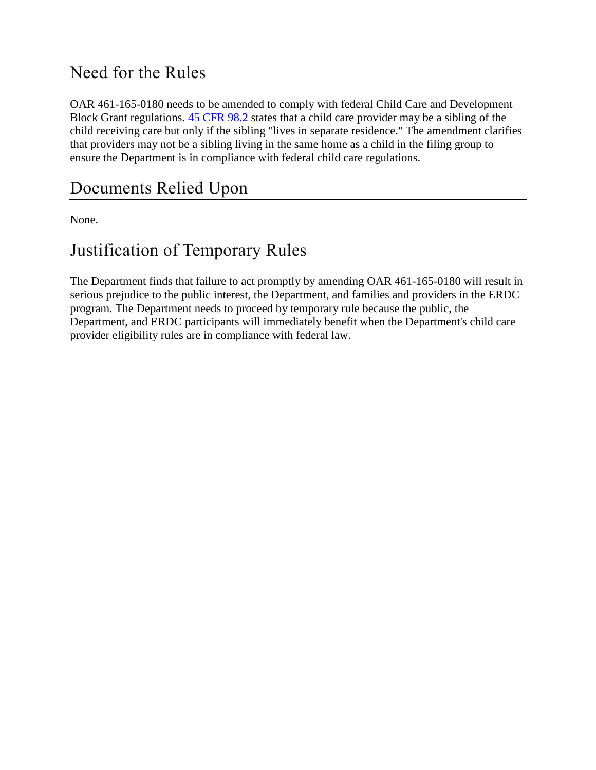### Need for the Rules

OAR 461-165-0180 needs to be amended to comply with federal Child Care and Development Block Grant regulations. [45 CFR 98.2](https://www.gpo.gov/fdsys/pkg/CFR-2004-title45-vol1/pdf/CFR-2004-title45-vol1-sec98-2.pdf) states that a child care provider may be a sibling of the child receiving care but only if the sibling "lives in separate residence." The amendment clarifies that providers may not be a sibling living in the same home as a child in the filing group to ensure the Department is in compliance with federal child care regulations.

## Documents Relied Upon

None.

## Justification of Temporary Rules

The Department finds that failure to act promptly by amending OAR 461-165-0180 will result in serious prejudice to the public interest, the Department, and families and providers in the ERDC program. The Department needs to proceed by temporary rule because the public, the Department, and ERDC participants will immediately benefit when the Department's child care provider eligibility rules are in compliance with federal law.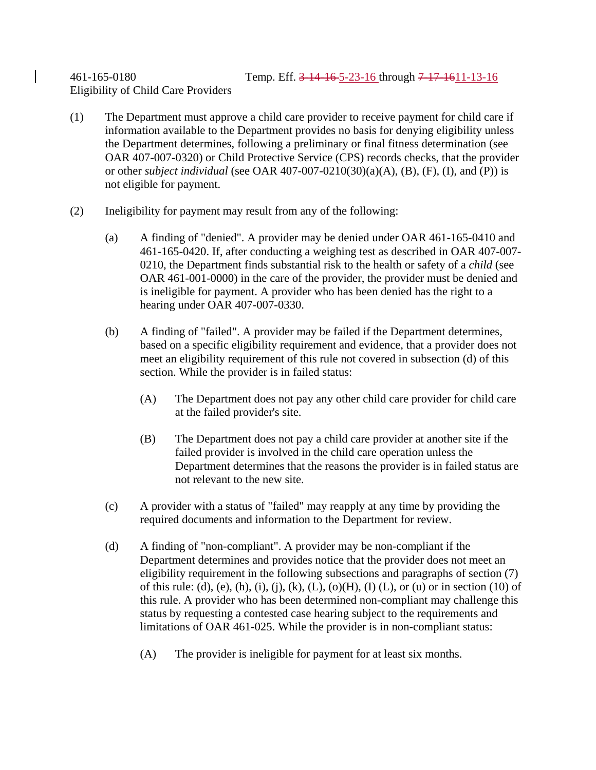# Eligibility of Child Care Providers

- (1) The Department must approve a child care provider to receive payment for child care if information available to the Department provides no basis for denying eligibility unless the Department determines, following a preliminary or final fitness determination (see OAR 407-007-0320) or Child Protective Service (CPS) records checks, that the provider or other *subject individual* (see OAR 407-007-0210(30)(a)(A), (B), (F), (I), and (P)) is not eligible for payment.
- (2) Ineligibility for payment may result from any of the following:
	- (a) A finding of "denied". A provider may be denied under OAR 461-165-0410 and 461-165-0420. If, after conducting a weighing test as described in OAR 407-007- 0210, the Department finds substantial risk to the health or safety of a *child* (see OAR 461-001-0000) in the care of the provider, the provider must be denied and is ineligible for payment. A provider who has been denied has the right to a hearing under OAR 407-007-0330.
	- (b) A finding of "failed". A provider may be failed if the Department determines, based on a specific eligibility requirement and evidence, that a provider does not meet an eligibility requirement of this rule not covered in subsection (d) of this section. While the provider is in failed status:
		- (A) The Department does not pay any other child care provider for child care at the failed provider's site.
		- (B) The Department does not pay a child care provider at another site if the failed provider is involved in the child care operation unless the Department determines that the reasons the provider is in failed status are not relevant to the new site.
	- (c) A provider with a status of "failed" may reapply at any time by providing the required documents and information to the Department for review.
	- (d) A finding of "non-compliant". A provider may be non-compliant if the Department determines and provides notice that the provider does not meet an eligibility requirement in the following subsections and paragraphs of section (7) of this rule: (d), (e), (h), (i), (j), (k), (L), (o)(H), (I) (L), or (u) or in section (10) of this rule. A provider who has been determined non-compliant may challenge this status by requesting a contested case hearing subject to the requirements and limitations of OAR 461-025. While the provider is in non-compliant status:
		- (A) The provider is ineligible for payment for at least six months.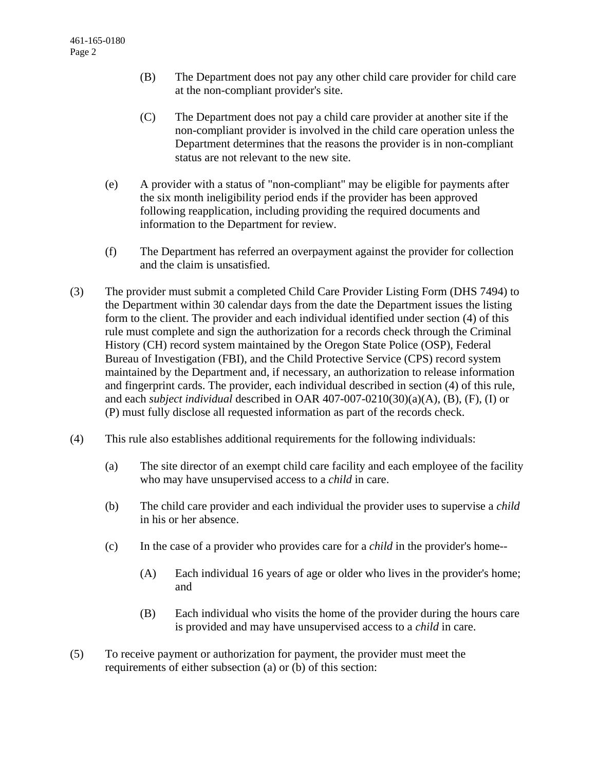- (B) The Department does not pay any other child care provider for child care at the non-compliant provider's site.
- (C) The Department does not pay a child care provider at another site if the non-compliant provider is involved in the child care operation unless the Department determines that the reasons the provider is in non-compliant status are not relevant to the new site.
- (e) A provider with a status of "non-compliant" may be eligible for payments after the six month ineligibility period ends if the provider has been approved following reapplication, including providing the required documents and information to the Department for review.
- (f) The Department has referred an overpayment against the provider for collection and the claim is unsatisfied.
- (3) The provider must submit a completed Child Care Provider Listing Form (DHS 7494) to the Department within 30 calendar days from the date the Department issues the listing form to the client. The provider and each individual identified under section (4) of this rule must complete and sign the authorization for a records check through the Criminal History (CH) record system maintained by the Oregon State Police (OSP), Federal Bureau of Investigation (FBI), and the Child Protective Service (CPS) record system maintained by the Department and, if necessary, an authorization to release information and fingerprint cards. The provider, each individual described in section (4) of this rule, and each *subject individual* described in OAR 407-007-0210(30)(a)(A), (B), (F), (I) or (P) must fully disclose all requested information as part of the records check.
- (4) This rule also establishes additional requirements for the following individuals:
	- (a) The site director of an exempt child care facility and each employee of the facility who may have unsupervised access to a *child* in care.
	- (b) The child care provider and each individual the provider uses to supervise a *child* in his or her absence.
	- (c) In the case of a provider who provides care for a *child* in the provider's home--
		- (A) Each individual 16 years of age or older who lives in the provider's home; and
		- (B) Each individual who visits the home of the provider during the hours care is provided and may have unsupervised access to a *child* in care.
- (5) To receive payment or authorization for payment, the provider must meet the requirements of either subsection (a) or (b) of this section: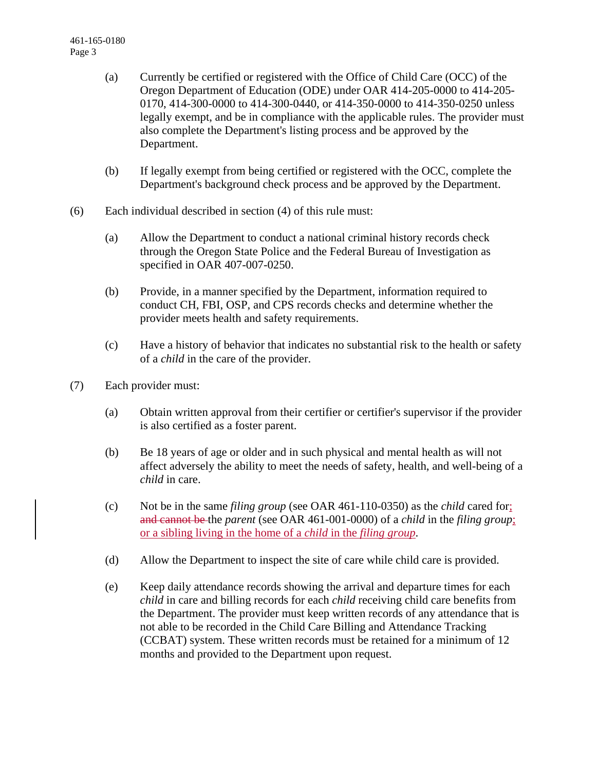- (a) Currently be certified or registered with the Office of Child Care (OCC) of the Oregon Department of Education (ODE) under OAR 414-205-0000 to 414-205- 0170, 414-300-0000 to 414-300-0440, or 414-350-0000 to 414-350-0250 unless legally exempt, and be in compliance with the applicable rules. The provider must also complete the Department's listing process and be approved by the Department.
- (b) If legally exempt from being certified or registered with the OCC, complete the Department's background check process and be approved by the Department.
- (6) Each individual described in section (4) of this rule must:
	- (a) Allow the Department to conduct a national criminal history records check through the Oregon State Police and the Federal Bureau of Investigation as specified in OAR 407-007-0250.
	- (b) Provide, in a manner specified by the Department, information required to conduct CH, FBI, OSP, and CPS records checks and determine whether the provider meets health and safety requirements.
	- (c) Have a history of behavior that indicates no substantial risk to the health or safety of a *child* in the care of the provider.
- (7) Each provider must:
	- (a) Obtain written approval from their certifier or certifier's supervisor if the provider is also certified as a foster parent.
	- (b) Be 18 years of age or older and in such physical and mental health as will not affect adversely the ability to meet the needs of safety, health, and well-being of a *child* in care.
	- (c) Not be in the same *filing group* (see OAR 461-110-0350) as the *child* cared for; and cannot be the *parent* (see OAR 461-001-0000) of a *child* in the *filing group*; or a sibling living in the home of a *child* in the *filing group*.
	- (d) Allow the Department to inspect the site of care while child care is provided.
	- (e) Keep daily attendance records showing the arrival and departure times for each *child* in care and billing records for each *child* receiving child care benefits from the Department. The provider must keep written records of any attendance that is not able to be recorded in the Child Care Billing and Attendance Tracking (CCBAT) system. These written records must be retained for a minimum of 12 months and provided to the Department upon request.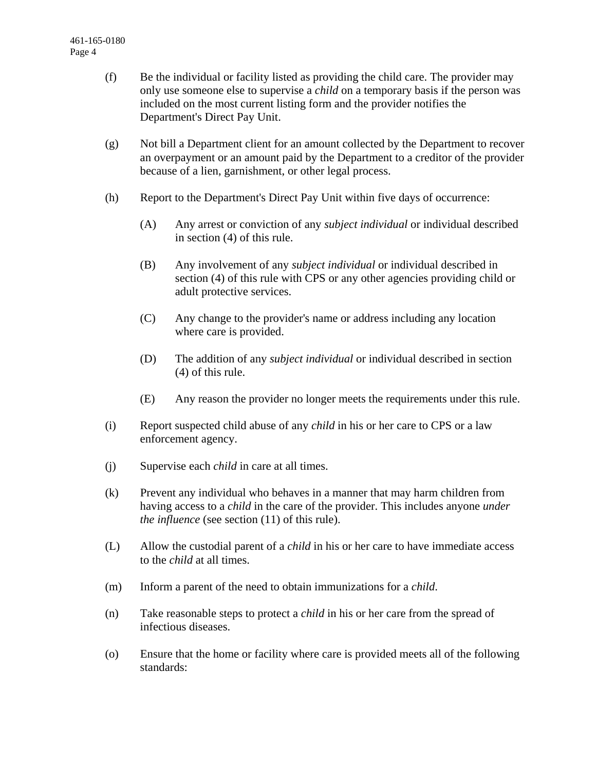- (f) Be the individual or facility listed as providing the child care. The provider may only use someone else to supervise a *child* on a temporary basis if the person was included on the most current listing form and the provider notifies the Department's Direct Pay Unit.
- (g) Not bill a Department client for an amount collected by the Department to recover an overpayment or an amount paid by the Department to a creditor of the provider because of a lien, garnishment, or other legal process.
- (h) Report to the Department's Direct Pay Unit within five days of occurrence:
	- (A) Any arrest or conviction of any *subject individual* or individual described in section (4) of this rule.
	- (B) Any involvement of any *subject individual* or individual described in section (4) of this rule with CPS or any other agencies providing child or adult protective services.
	- (C) Any change to the provider's name or address including any location where care is provided.
	- (D) The addition of any *subject individual* or individual described in section (4) of this rule.
	- (E) Any reason the provider no longer meets the requirements under this rule.
- (i) Report suspected child abuse of any *child* in his or her care to CPS or a law enforcement agency.
- (j) Supervise each *child* in care at all times.
- (k) Prevent any individual who behaves in a manner that may harm children from having access to a *child* in the care of the provider. This includes anyone *under the influence* (see section (11) of this rule).
- (L) Allow the custodial parent of a *child* in his or her care to have immediate access to the *child* at all times.
- (m) Inform a parent of the need to obtain immunizations for a *child*.
- (n) Take reasonable steps to protect a *child* in his or her care from the spread of infectious diseases.
- (o) Ensure that the home or facility where care is provided meets all of the following standards: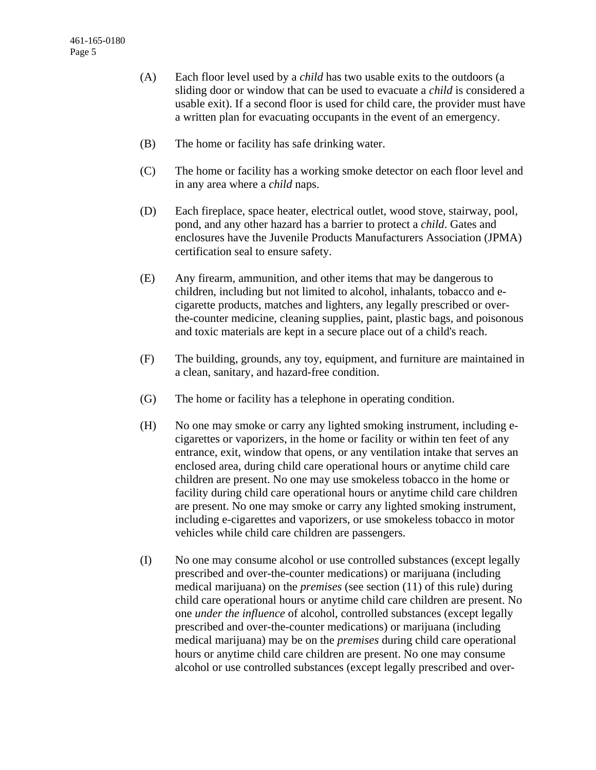- (A) Each floor level used by a *child* has two usable exits to the outdoors (a sliding door or window that can be used to evacuate a *child* is considered a usable exit). If a second floor is used for child care, the provider must have a written plan for evacuating occupants in the event of an emergency.
- (B) The home or facility has safe drinking water.
- (C) The home or facility has a working smoke detector on each floor level and in any area where a *child* naps.
- (D) Each fireplace, space heater, electrical outlet, wood stove, stairway, pool, pond, and any other hazard has a barrier to protect a *child*. Gates and enclosures have the Juvenile Products Manufacturers Association (JPMA) certification seal to ensure safety.
- (E) Any firearm, ammunition, and other items that may be dangerous to children, including but not limited to alcohol, inhalants, tobacco and ecigarette products, matches and lighters, any legally prescribed or overthe-counter medicine, cleaning supplies, paint, plastic bags, and poisonous and toxic materials are kept in a secure place out of a child's reach.
- (F) The building, grounds, any toy, equipment, and furniture are maintained in a clean, sanitary, and hazard-free condition.
- (G) The home or facility has a telephone in operating condition.
- (H) No one may smoke or carry any lighted smoking instrument, including ecigarettes or vaporizers, in the home or facility or within ten feet of any entrance, exit, window that opens, or any ventilation intake that serves an enclosed area, during child care operational hours or anytime child care children are present. No one may use smokeless tobacco in the home or facility during child care operational hours or anytime child care children are present. No one may smoke or carry any lighted smoking instrument, including e-cigarettes and vaporizers, or use smokeless tobacco in motor vehicles while child care children are passengers.
- (I) No one may consume alcohol or use controlled substances (except legally prescribed and over-the-counter medications) or marijuana (including medical marijuana) on the *premises* (see section (11) of this rule) during child care operational hours or anytime child care children are present. No one *under the influence* of alcohol, controlled substances (except legally prescribed and over-the-counter medications) or marijuana (including medical marijuana) may be on the *premises* during child care operational hours or anytime child care children are present. No one may consume alcohol or use controlled substances (except legally prescribed and over-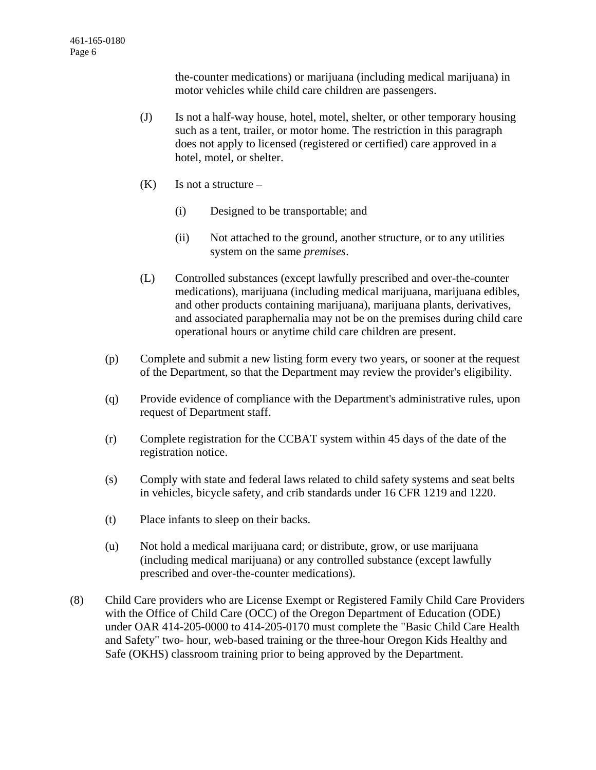the-counter medications) or marijuana (including medical marijuana) in motor vehicles while child care children are passengers.

- (J) Is not a half-way house, hotel, motel, shelter, or other temporary housing such as a tent, trailer, or motor home. The restriction in this paragraph does not apply to licensed (registered or certified) care approved in a hotel, motel, or shelter.
- $(K)$  Is not a structure
	- (i) Designed to be transportable; and
	- (ii) Not attached to the ground, another structure, or to any utilities system on the same *premises*.
- (L) Controlled substances (except lawfully prescribed and over-the-counter medications), marijuana (including medical marijuana, marijuana edibles, and other products containing marijuana), marijuana plants, derivatives, and associated paraphernalia may not be on the premises during child care operational hours or anytime child care children are present.
- (p) Complete and submit a new listing form every two years, or sooner at the request of the Department, so that the Department may review the provider's eligibility.
- (q) Provide evidence of compliance with the Department's administrative rules, upon request of Department staff.
- (r) Complete registration for the CCBAT system within 45 days of the date of the registration notice.
- (s) Comply with state and federal laws related to child safety systems and seat belts in vehicles, bicycle safety, and crib standards under 16 CFR 1219 and 1220.
- (t) Place infants to sleep on their backs.
- (u) Not hold a medical marijuana card; or distribute, grow, or use marijuana (including medical marijuana) or any controlled substance (except lawfully prescribed and over-the-counter medications).
- (8) Child Care providers who are License Exempt or Registered Family Child Care Providers with the Office of Child Care (OCC) of the Oregon Department of Education (ODE) under OAR 414-205-0000 to 414-205-0170 must complete the "Basic Child Care Health and Safety" two- hour, web-based training or the three-hour Oregon Kids Healthy and Safe (OKHS) classroom training prior to being approved by the Department.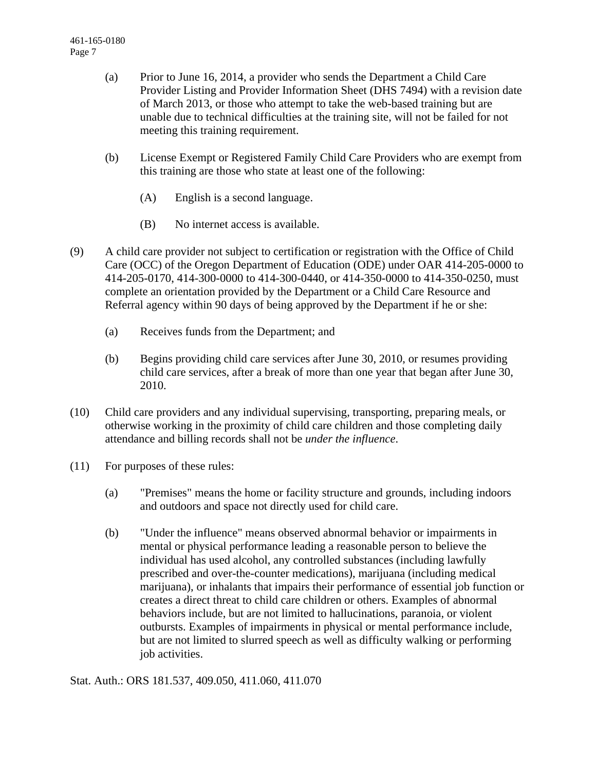- (a) Prior to June 16, 2014, a provider who sends the Department a Child Care Provider Listing and Provider Information Sheet (DHS 7494) with a revision date of March 2013, or those who attempt to take the web-based training but are unable due to technical difficulties at the training site, will not be failed for not meeting this training requirement.
- (b) License Exempt or Registered Family Child Care Providers who are exempt from this training are those who state at least one of the following:
	- (A) English is a second language.
	- (B) No internet access is available.
- (9) A child care provider not subject to certification or registration with the Office of Child Care (OCC) of the Oregon Department of Education (ODE) under OAR 414-205-0000 to 414-205-0170, 414-300-0000 to 414-300-0440, or 414-350-0000 to 414-350-0250, must complete an orientation provided by the Department or a Child Care Resource and Referral agency within 90 days of being approved by the Department if he or she:
	- (a) Receives funds from the Department; and
	- (b) Begins providing child care services after June 30, 2010, or resumes providing child care services, after a break of more than one year that began after June 30, 2010.
- (10) Child care providers and any individual supervising, transporting, preparing meals, or otherwise working in the proximity of child care children and those completing daily attendance and billing records shall not be *under the influence*.
- (11) For purposes of these rules:
	- (a) "Premises" means the home or facility structure and grounds, including indoors and outdoors and space not directly used for child care.
	- (b) "Under the influence" means observed abnormal behavior or impairments in mental or physical performance leading a reasonable person to believe the individual has used alcohol, any controlled substances (including lawfully prescribed and over-the-counter medications), marijuana (including medical marijuana), or inhalants that impairs their performance of essential job function or creates a direct threat to child care children or others. Examples of abnormal behaviors include, but are not limited to hallucinations, paranoia, or violent outbursts. Examples of impairments in physical or mental performance include, but are not limited to slurred speech as well as difficulty walking or performing job activities.

Stat. Auth.: ORS 181.537, 409.050, 411.060, 411.070